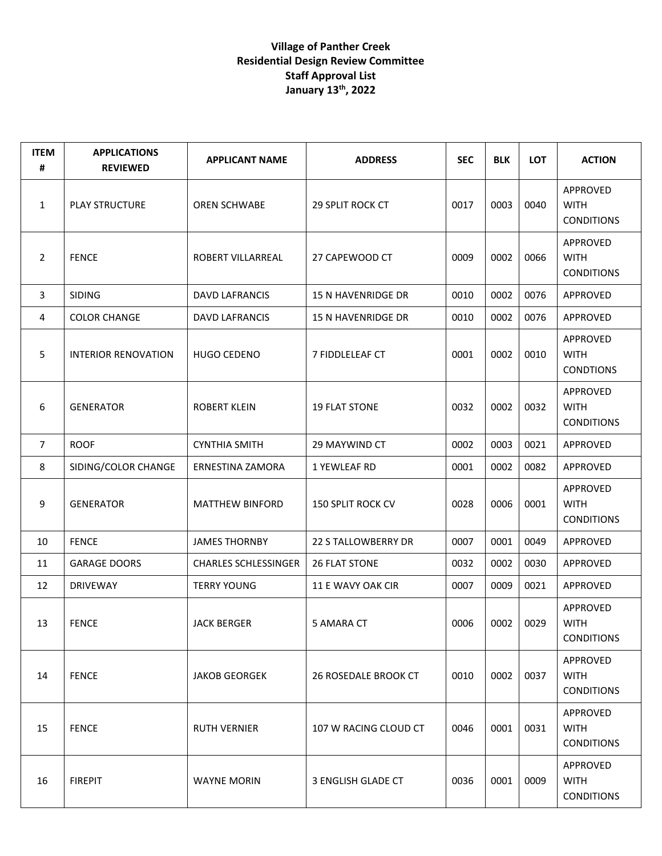## **Village of Panther Creek Residential Design Review Committee Staff Approval List January 13th, 2022**

| <b>ITEM</b><br># | <b>APPLICATIONS</b><br><b>REVIEWED</b> | <b>APPLICANT NAME</b>       | <b>ADDRESS</b>            | <b>SEC</b> | <b>BLK</b> | <b>LOT</b> | <b>ACTION</b>                                |
|------------------|----------------------------------------|-----------------------------|---------------------------|------------|------------|------------|----------------------------------------------|
| $\mathbf{1}$     | <b>PLAY STRUCTURE</b>                  | <b>OREN SCHWABE</b>         | <b>29 SPLIT ROCK CT</b>   | 0017       | 0003       | 0040       | APPROVED<br><b>WITH</b><br><b>CONDITIONS</b> |
| 2                | <b>FENCE</b>                           | ROBERT VILLARREAL           | 27 CAPEWOOD CT            | 0009       | 0002       | 0066       | APPROVED<br><b>WITH</b><br><b>CONDITIONS</b> |
| 3                | <b>SIDING</b>                          | <b>DAVD LAFRANCIS</b>       | <b>15 N HAVENRIDGE DR</b> | 0010       | 0002       | 0076       | APPROVED                                     |
| 4                | <b>COLOR CHANGE</b>                    | DAVD LAFRANCIS              | 15 N HAVENRIDGE DR        | 0010       | 0002       | 0076       | APPROVED                                     |
| 5                | <b>INTERIOR RENOVATION</b>             | <b>HUGO CEDENO</b>          | <b>7 FIDDLELEAF CT</b>    | 0001       | 0002       | 0010       | APPROVED<br><b>WITH</b><br><b>CONDTIONS</b>  |
| 6                | <b>GENERATOR</b>                       | <b>ROBERT KLEIN</b>         | <b>19 FLAT STONE</b>      | 0032       | 0002       | 0032       | APPROVED<br><b>WITH</b><br><b>CONDITIONS</b> |
| $\overline{7}$   | <b>ROOF</b>                            | <b>CYNTHIA SMITH</b>        | 29 MAYWIND CT             | 0002       | 0003       | 0021       | APPROVED                                     |
| 8                | SIDING/COLOR CHANGE                    | ERNESTINA ZAMORA            | 1 YEWLEAF RD              | 0001       | 0002       | 0082       | APPROVED                                     |
| 9                | <b>GENERATOR</b>                       | <b>MATTHEW BINFORD</b>      | <b>150 SPLIT ROCK CV</b>  | 0028       | 0006       | 0001       | APPROVED<br><b>WITH</b><br><b>CONDITIONS</b> |
| 10               | <b>FENCE</b>                           | <b>JAMES THORNBY</b>        | 22 S TALLOWBERRY DR       | 0007       | 0001       | 0049       | APPROVED                                     |
| 11               | <b>GARAGE DOORS</b>                    | <b>CHARLES SCHLESSINGER</b> | <b>26 FLAT STONE</b>      | 0032       | 0002       | 0030       | APPROVED                                     |
| 12               | <b>DRIVEWAY</b>                        | <b>TERRY YOUNG</b>          | 11 E WAVY OAK CIR         | 0007       | 0009       | 0021       | APPROVED                                     |
| 13               | <b>FENCE</b>                           | <b>JACK BERGER</b>          | 5 AMARA CT                | 0006       | 0002       | 0029       | APPROVED<br><b>WITH</b><br><b>CONDITIONS</b> |
| 14               | <b>FENCE</b>                           | <b>JAKOB GEORGEK</b>        | 26 ROSEDALE BROOK CT      | 0010       | 0002       | 0037       | APPROVED<br><b>WITH</b><br><b>CONDITIONS</b> |
| 15               | <b>FENCE</b>                           | <b>RUTH VERNIER</b>         | 107 W RACING CLOUD CT     | 0046       | 0001       | 0031       | APPROVED<br><b>WITH</b><br><b>CONDITIONS</b> |
| 16               | <b>FIREPIT</b>                         | <b>WAYNE MORIN</b>          | 3 ENGLISH GLADE CT        | 0036       | 0001       | 0009       | APPROVED<br><b>WITH</b><br><b>CONDITIONS</b> |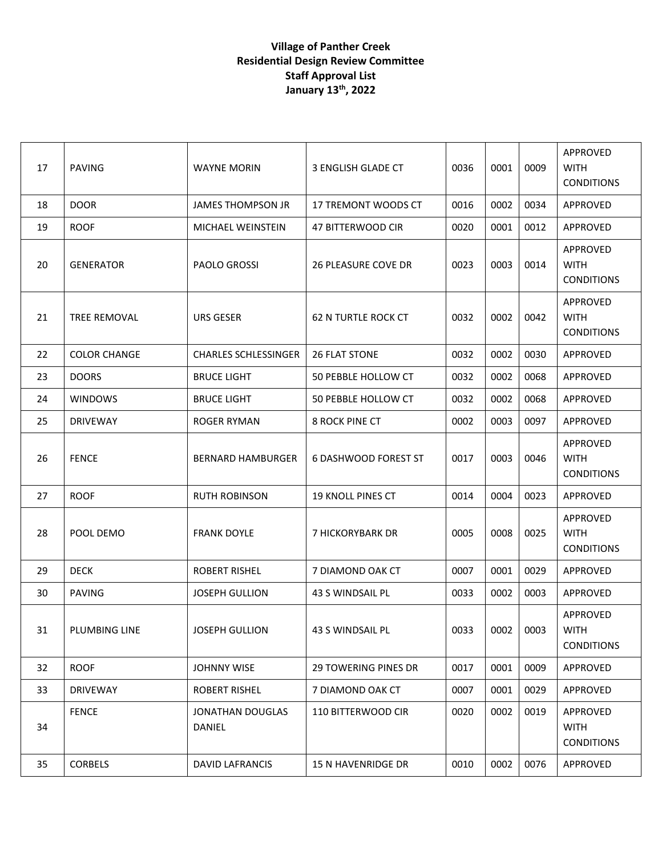## **Village of Panther Creek Residential Design Review Committee Staff Approval List January 13th, 2022**

| 17 | <b>PAVING</b>       | <b>WAYNE MORIN</b>          | 3 ENGLISH GLADE CT          | 0036 | 0001 | 0009 | APPROVED<br><b>WITH</b><br><b>CONDITIONS</b> |
|----|---------------------|-----------------------------|-----------------------------|------|------|------|----------------------------------------------|
| 18 | <b>DOOR</b>         | <b>JAMES THOMPSON JR</b>    | 17 TREMONT WOODS CT         | 0016 | 0002 | 0034 | APPROVED                                     |
| 19 | <b>ROOF</b>         | MICHAEL WEINSTEIN           | 47 BITTERWOOD CIR           | 0020 | 0001 | 0012 | <b>APPROVED</b>                              |
| 20 | <b>GENERATOR</b>    | <b>PAOLO GROSSI</b>         | <b>26 PLEASURE COVE DR</b>  | 0023 | 0003 | 0014 | APPROVED<br><b>WITH</b><br><b>CONDITIONS</b> |
| 21 | TREE REMOVAL        | URS GESER                   | <b>62 N TURTLE ROCK CT</b>  | 0032 | 0002 | 0042 | APPROVED<br><b>WITH</b><br><b>CONDITIONS</b> |
| 22 | <b>COLOR CHANGE</b> | <b>CHARLES SCHLESSINGER</b> | <b>26 FLAT STONE</b>        | 0032 | 0002 | 0030 | APPROVED                                     |
| 23 | <b>DOORS</b>        | <b>BRUCE LIGHT</b>          | 50 PEBBLE HOLLOW CT         | 0032 | 0002 | 0068 | APPROVED                                     |
| 24 | <b>WINDOWS</b>      | <b>BRUCE LIGHT</b>          | 50 PEBBLE HOLLOW CT         | 0032 | 0002 | 0068 | APPROVED                                     |
| 25 | <b>DRIVEWAY</b>     | <b>ROGER RYMAN</b>          | <b>8 ROCK PINE CT</b>       | 0002 | 0003 | 0097 | APPROVED                                     |
| 26 | <b>FENCE</b>        | <b>BERNARD HAMBURGER</b>    | <b>6 DASHWOOD FOREST ST</b> | 0017 | 0003 | 0046 | APPROVED<br><b>WITH</b><br><b>CONDITIONS</b> |
| 27 | <b>ROOF</b>         | <b>RUTH ROBINSON</b>        | <b>19 KNOLL PINES CT</b>    | 0014 | 0004 | 0023 | APPROVED                                     |
| 28 | POOL DEMO           | <b>FRANK DOYLE</b>          | 7 HICKORYBARK DR            | 0005 | 0008 | 0025 | APPROVED<br><b>WITH</b><br><b>CONDITIONS</b> |
| 29 | <b>DECK</b>         | <b>ROBERT RISHEL</b>        | 7 DIAMOND OAK CT            | 0007 | 0001 | 0029 | APPROVED                                     |
| 30 | <b>PAVING</b>       | <b>JOSEPH GULLION</b>       | 43 S WINDSAIL PL            | 0033 | 0002 | 0003 | APPROVED                                     |
| 31 | PLUMBING LINE       | <b>JOSEPH GULLION</b>       | 43 S WINDSAIL PL            | 0033 | 0002 | 0003 | <b>APPROVED</b><br>WITH<br><b>CONDITIONS</b> |
| 32 | <b>ROOF</b>         | <b>JOHNNY WISE</b>          | <b>29 TOWERING PINES DR</b> | 0017 | 0001 | 0009 | APPROVED                                     |
| 33 | <b>DRIVEWAY</b>     | ROBERT RISHEL               | 7 DIAMOND OAK CT            | 0007 | 0001 | 0029 | APPROVED                                     |
| 34 | <b>FENCE</b>        | JONATHAN DOUGLAS<br>DANIEL  | 110 BITTERWOOD CIR          | 0020 | 0002 | 0019 | APPROVED<br><b>WITH</b><br><b>CONDITIONS</b> |
| 35 | <b>CORBELS</b>      | <b>DAVID LAFRANCIS</b>      | 15 N HAVENRIDGE DR          | 0010 | 0002 | 0076 | APPROVED                                     |